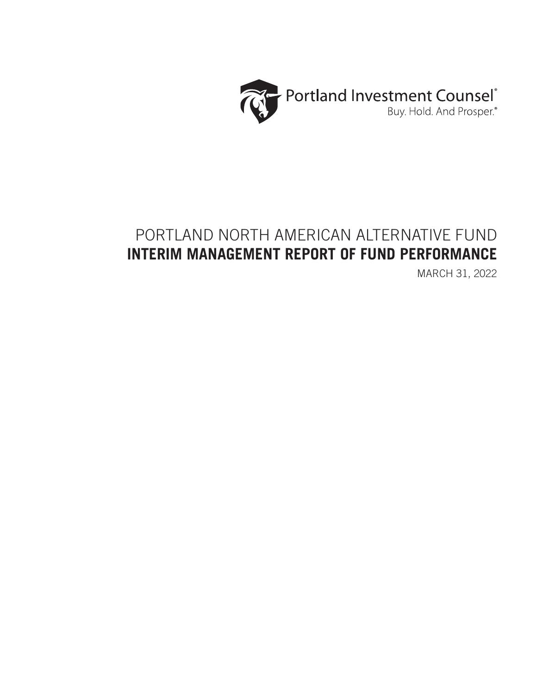

# PORTLAND NORTH AMERICAN ALTERNATIVE FUND **INTERIM MANAGEMENT REPORT OF FUND PERFORMANCE**

MARCH 31, 2022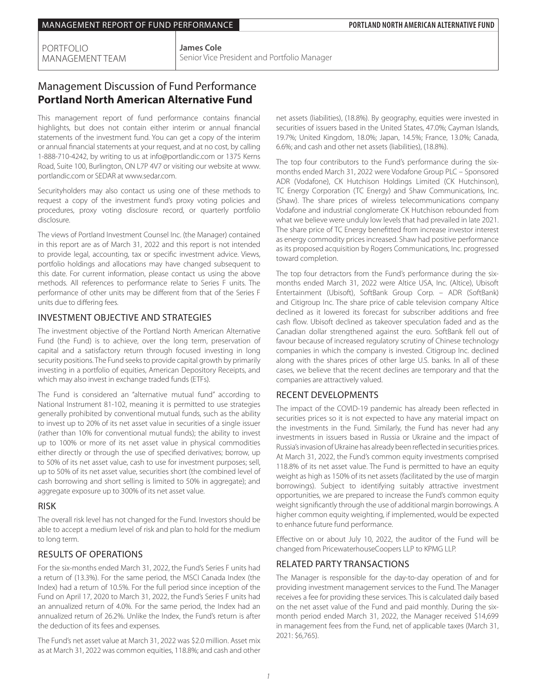PORTFOLIO MANAGEMENT TEAM **James Cole** Senior Vice President and Portfolio Manager

## Management Discussion of Fund Performance **Portland North American Alternative Fund**

This management report of fund performance contains financial highlights, but does not contain either interim or annual financial statements of the investment fund. You can get a copy of the interim or annual financial statements at your request, and at no cost, by calling 1-888-710-4242, by writing to us at info@portlandic.com or 1375 Kerns Road, Suite 100, Burlington, ON L7P 4V7 or visiting our website at www. portlandic.com or SEDAR at www.sedar.com.

Securityholders may also contact us using one of these methods to request a copy of the investment fund's proxy voting policies and procedures, proxy voting disclosure record, or quarterly portfolio disclosure.

The views of Portland Investment Counsel Inc. (the Manager) contained in this report are as of March 31, 2022 and this report is not intended to provide legal, accounting, tax or specific investment advice. Views, portfolio holdings and allocations may have changed subsequent to this date. For current information, please contact us using the above methods. All references to performance relate to Series F units. The performance of other units may be different from that of the Series F units due to differing fees.

#### INVESTMENT OBJECTIVE AND STRATEGIES

The investment objective of the Portland North American Alternative Fund (the Fund) is to achieve, over the long term, preservation of capital and a satisfactory return through focused investing in long security positions. The Fund seeks to provide capital growth by primarily investing in a portfolio of equities, American Depository Receipts, and which may also invest in exchange traded funds (ETFs).

The Fund is considered an "alternative mutual fund" according to National Instrument 81-102, meaning it is permitted to use strategies generally prohibited by conventional mutual funds, such as the ability to invest up to 20% of its net asset value in securities of a single issuer (rather than 10% for conventional mutual funds); the ability to invest up to 100% or more of its net asset value in physical commodities either directly or through the use of specified derivatives; borrow, up to 50% of its net asset value, cash to use for investment purposes; sell, up to 50% of its net asset value, securities short (the combined level of cash borrowing and short selling is limited to 50% in aggregate); and aggregate exposure up to 300% of its net asset value.

## RISK

The overall risk level has not changed for the Fund. Investors should be able to accept a medium level of risk and plan to hold for the medium to long term.

## RESULTS OF OPERATIONS

For the six-months ended March 31, 2022, the Fund's Series F units had a return of (13.3%). For the same period, the MSCI Canada Index (the Index) had a return of 10.5%. For the full period since inception of the Fund on April 17, 2020 to March 31, 2022, the Fund's Series F units had an annualized return of 4.0%. For the same period, the Index had an annualized return of 26.2%. Unlike the Index, the Fund's return is after the deduction of its fees and expenses.

The Fund's net asset value at March 31, 2022 was \$2.0 million. Asset mix as at March 31, 2022 was common equities, 118.8%; and cash and other

net assets (liabilities), (18.8%). By geography, equities were invested in securities of issuers based in the United States, 47.0%; Cayman Islands, 19.7%; United Kingdom, 18.0%; Japan, 14.5%; France, 13.0%; Canada, 6.6%; and cash and other net assets (liabilities), (18.8%).

The top four contributors to the Fund's performance during the sixmonths ended March 31, 2022 were Vodafone Group PLC – Sponsored ADR (Vodafone), CK Hutchison Holdings Limited (CK Hutchinson), TC Energy Corporation (TC Energy) and Shaw Communications, Inc. (Shaw). The share prices of wireless telecommunications company Vodafone and industrial conglomerate CK Hutchison rebounded from what we believe were unduly low levels that had prevailed in late 2021. The share price of TC Energy benefitted from increase investor interest as energy commodity prices increased. Shaw had positive performance as its proposed acquisition by Rogers Communications, Inc. progressed toward completion.

The top four detractors from the Fund's performance during the sixmonths ended March 31, 2022 were Altice USA, Inc. (Altice), Ubisoft Entertainment (Ubisoft), SoftBank Group Corp. – ADR (SoftBank) and Citigroup Inc. The share price of cable television company Altice declined as it lowered its forecast for subscriber additions and free cash flow. Ubisoft declined as takeover speculation faded and as the Canadian dollar strengthened against the euro. SoftBank fell out of favour because of increased regulatory scrutiny of Chinese technology companies in which the company is invested. Citigroup Inc. declined along with the shares prices of other large U.S. banks. In all of these cases, we believe that the recent declines are temporary and that the companies are attractively valued.

#### RECENT DEVELOPMENTS

The impact of the COVID-19 pandemic has already been reflected in securities prices so it is not expected to have any material impact on the investments in the Fund. Similarly, the Fund has never had any investments in issuers based in Russia or Ukraine and the impact of Russia's invasion of Ukraine has already been reflected in securities prices. At March 31, 2022, the Fund's common equity investments comprised 118.8% of its net asset value. The Fund is permitted to have an equity weight as high as 150% of its net assets (facilitated by the use of margin borrowings). Subject to identifying suitably attractive investment opportunities, we are prepared to increase the Fund's common equity weight significantly through the use of additional margin borrowings. A higher common equity weighting, if implemented, would be expected to enhance future fund performance.

Effective on or about July 10, 2022, the auditor of the Fund will be changed from PricewaterhouseCoopers LLP to KPMG LLP.

## RELATED PARTY TRANSACTIONS

The Manager is responsible for the day-to-day operation of and for providing investment management services to the Fund. The Manager receives a fee for providing these services. This is calculated daily based on the net asset value of the Fund and paid monthly. During the sixmonth period ended March 31, 2022, the Manager received \$14,699 in management fees from the Fund, net of applicable taxes (March 31, 2021: \$6,765).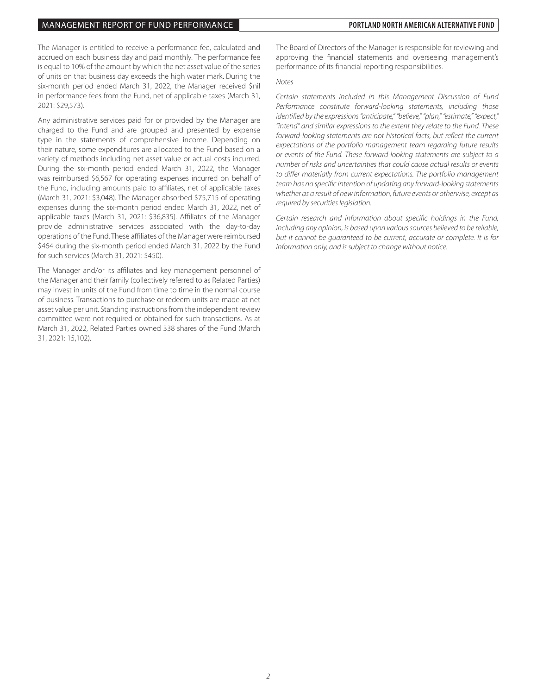#### MANAGEMENT REPORT OF FUND PERFORMANCE **PORTLAND NORTH AMERICAN ALTERNATIVE FUND**

The Manager is entitled to receive a performance fee, calculated and accrued on each business day and paid monthly. The performance fee is equal to 10% of the amount by which the net asset value of the series of units on that business day exceeds the high water mark. During the six-month period ended March 31, 2022, the Manager received \$nil in performance fees from the Fund, net of applicable taxes (March 31, 2021: \$29,573).

Any administrative services paid for or provided by the Manager are charged to the Fund and are grouped and presented by expense type in the statements of comprehensive income. Depending on their nature, some expenditures are allocated to the Fund based on a variety of methods including net asset value or actual costs incurred. During the six-month period ended March 31, 2022, the Manager was reimbursed \$6,567 for operating expenses incurred on behalf of the Fund, including amounts paid to affiliates, net of applicable taxes (March 31, 2021: \$3,048). The Manager absorbed \$75,715 of operating expenses during the six-month period ended March 31, 2022, net of applicable taxes (March 31, 2021: \$36,835). Affiliates of the Manager provide administrative services associated with the day-to-day operations of the Fund. These affiliates of the Manager were reimbursed \$464 during the six-month period ended March 31, 2022 by the Fund for such services (March 31, 2021: \$450).

The Manager and/or its affiliates and key management personnel of the Manager and their family (collectively referred to as Related Parties) may invest in units of the Fund from time to time in the normal course of business. Transactions to purchase or redeem units are made at net asset value per unit. Standing instructions from the independent review committee were not required or obtained for such transactions. As at March 31, 2022, Related Parties owned 338 shares of the Fund (March 31, 2021: 15,102).

The Board of Directors of the Manager is responsible for reviewing and approving the financial statements and overseeing management's performance of its financial reporting responsibilities.

#### *Notes*

*Certain statements included in this Management Discussion of Fund Performance constitute forward-looking statements, including those identified by the expressions "anticipate," "believe," "plan," "estimate," "expect," "intend" and similar expressions to the extent they relate to the Fund. These forward-looking statements are not historical facts, but reflect the current expectations of the portfolio management team regarding future results or events of the Fund. These forward-looking statements are subject to a number of risks and uncertainties that could cause actual results or events to differ materially from current expectations. The portfolio management team has no specific intention of updating any forward-looking statements whether as a result of new information, future events or otherwise, except as required by securities legislation.*

*Certain research and information about specific holdings in the Fund, including any opinion, is based upon various sources believed to be reliable, but it cannot be guaranteed to be current, accurate or complete. It is for information only, and is subject to change without notice.*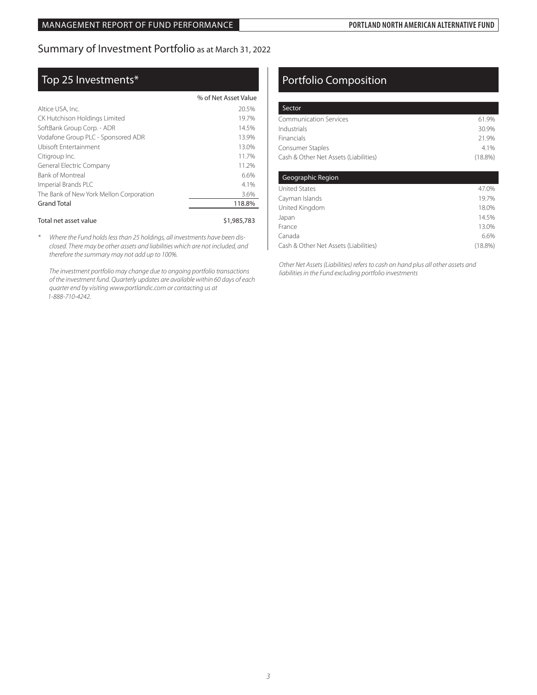## Summary of Investment Portfolio as at March 31, 2022

## Top 25 Investments\*

|                                         | % of Net Asset Value |
|-----------------------------------------|----------------------|
| Altice USA, Inc.                        | 20.5%                |
| CK Hutchison Holdings Limited           | 19.7%                |
| SoftBank Group Corp. - ADR              | 14.5%                |
| Vodafone Group PLC - Sponsored ADR      | 13.9%                |
| Ubisoft Entertainment                   | 13.0%                |
| Citigroup Inc.                          | 11.7%                |
| General Electric Company                | 11.2%                |
| <b>Bank of Montreal</b>                 | 6.6%                 |
| Imperial Brands PLC                     | 4.1%                 |
| The Bank of New York Mellon Corporation | 3.6%                 |
| <b>Grand Total</b>                      | 118.8%               |
|                                         |                      |

#### Total net asset value  $$1,985,783$

*\* Where the Fund holds less than 25 holdings, all investments have been disclosed. There may be other assets and liabilities which are not included, and therefore the summary may not add up to 100%.*

*The investment portfolio may change due to ongoing portfolio transactions of the investment fund. Quarterly updates are available within 60 days of each quarter end by visiting www.portlandic.com or contacting us at 1-888-710-4242.*

## Portfolio Composition

| Sector                                |            |
|---------------------------------------|------------|
| <b>Communication Services</b>         | 61.9%      |
| Industrials                           | 30.9%      |
| <b>Financials</b>                     | 21.9%      |
| Consumer Staples                      | 4 1%       |
| Cash & Other Net Assets (Liabilities) | $(18.8\%)$ |
|                                       |            |

| Geographic Region                     |            |
|---------------------------------------|------------|
| <b>United States</b>                  | 47.0%      |
| Cayman Islands                        | 19.7%      |
| United Kingdom                        | 18.0%      |
| Japan                                 | 14.5%      |
| France                                | 13.0%      |
| Canada                                | 6.6%       |
| Cash & Other Net Assets (Liabilities) | $(18.8\%)$ |

 *Other Net Assets (Liabilities) refers to cash on hand plus all other assets and liabilities in the Fund excluding portfolio investments*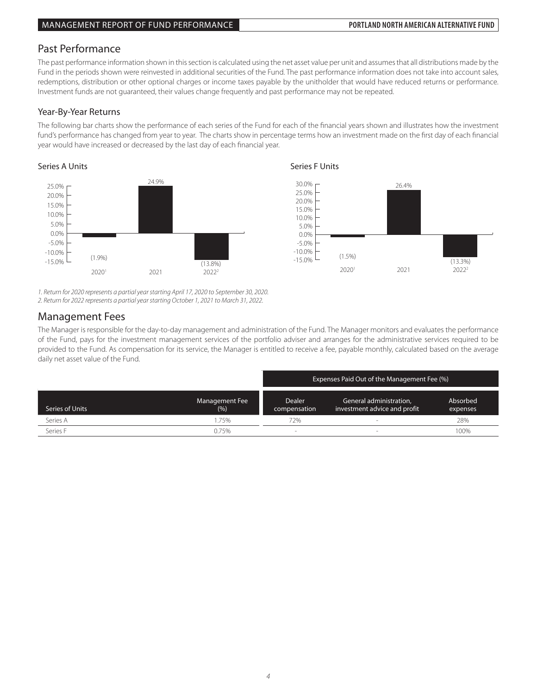## Past Performance

The past performance information shown in this section is calculated using the net asset value per unit and assumes that all distributions made by the Fund in the periods shown were reinvested in additional securities of the Fund. The past performance information does not take into account sales, redemptions, distribution or other optional charges or income taxes payable by the unitholder that would have reduced returns or performance. Investment funds are not guaranteed, their values change frequently and past performance may not be repeated.

20.0%

### Year-By-Year Returns

The following bar charts show the performance of each series of the Fund for each of the financial years shown and illustrates how the investment fund's performance has changed from year to year. The charts show in percentage terms how an investment made on the first day of each financial year would have increased or decreased by the last day of each financial year.

#### Series A Units Series A Units Series F Units Series F Units Series F Units Series F Units Series F Units Series F Series A





*1. Return for 2020 represents a partial year starting April 17, 2020 to September 30, 2020.*

*2. Return for 2022 represents a partial year starting October 1, 2021 to March 31, 2022.*

## Management Fees

provided to the Fund. As compensation for its service, the Manager is entitled to receive a fee, payable monthly, calculated based on the average  $20.00$ .<br>daily net asset value of the Fund. The Manager is responsible for the day-to-day management and administration of the Fund. The Manager monitors and evaluates the performance of the Fund, pays for the investment management services of the portfolio adviser and arranges for the administrative services required to be

|                 |                        | Expenses Paid Out of the Management Fee (%) |                                                         |                      |
|-----------------|------------------------|---------------------------------------------|---------------------------------------------------------|----------------------|
| Series of Units | Management Fee<br>(% ) | <b>Dealer</b><br>compensation               | General administration,<br>investment advice and profit | Absorbed<br>expenses |
| Series A        | .75%                   | 72%                                         |                                                         | 28%                  |
| Series F        | 0.75%                  |                                             |                                                         | 100%                 |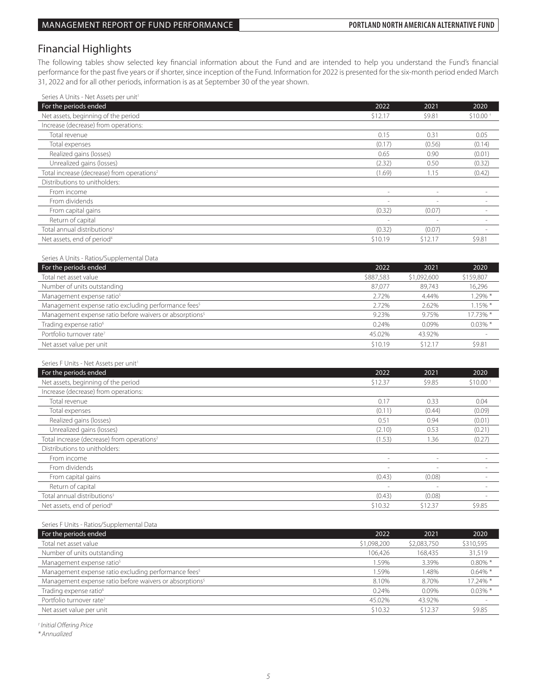## Financial Highlights

The following tables show selected key financial information about the Fund and are intended to help you understand the Fund's financial performance for the past five years or if shorter, since inception of the Fund. Information for 2022 is presented for the six-month period ended March 31, 2022 and for all other periods, information is as at September 30 of the year shown.

| Series A Units - Net Assets per unit <sup>1</sup><br>For the periods ended | 2022                     | 2021                     | 2020                     |
|----------------------------------------------------------------------------|--------------------------|--------------------------|--------------------------|
| Net assets, beginning of the period                                        | \$12.17                  | \$9.81                   | \$10.00                  |
| Increase (decrease) from operations:                                       |                          |                          |                          |
| Total revenue                                                              | 0.15                     | 0.31                     | 0.05                     |
| Total expenses                                                             | (0.17)                   | (0.56)                   | (0.14)                   |
| Realized gains (losses)                                                    | 0.65                     | 0.90                     | (0.01)                   |
| Unrealized gains (losses)                                                  | (2.32)                   | 0.50                     | (0.32)                   |
| Total increase (decrease) from operations <sup>2</sup>                     | (1.69)                   | 1.15                     | (0.42)                   |
| Distributions to unitholders:                                              |                          |                          |                          |
| From income                                                                | $\sim$                   | $\overline{\phantom{a}}$ | $\overline{\phantom{a}}$ |
| From dividends                                                             |                          | $\overline{\phantom{a}}$ |                          |
| From capital gains                                                         | (0.32)                   | (0.07)                   | ×.                       |
| Return of capital                                                          | ÷                        | $\sim$                   | $\sim$                   |
| Total annual distributions <sup>3</sup>                                    | (0.32)                   | (0.07)                   |                          |
| Net assets, end of period <sup>4</sup>                                     | \$10.19                  | \$12.17                  | \$9.81                   |
|                                                                            |                          |                          |                          |
| Series A Units - Ratios/Supplemental Data                                  |                          |                          |                          |
| For the periods ended                                                      | 2022                     | 2021                     | 2020                     |
| Total net asset value                                                      | \$887,583                | \$1,092,600              | \$159,807                |
| Number of units outstanding                                                | 87,077                   | 89,743                   | 16,296                   |
| Management expense ratio <sup>5</sup>                                      | 2.72%                    | 4.44%                    | 1.29% *                  |
| Management expense ratio excluding performance fees <sup>5</sup>           | 2.72%                    | 2.62%                    | 1.15% *                  |
| Management expense ratio before waivers or absorptions <sup>5</sup>        | 9.23%                    | 9.75%                    | 17.73% *                 |
| Trading expense ratio <sup>6</sup>                                         | 0.24%                    | 0.09%                    | $0.03\%$ *               |
| Portfolio turnover rate <sup>7</sup>                                       | 45.02%                   | 43.92%                   |                          |
| Net asset value per unit                                                   | \$10.19                  | \$12.17                  | \$9.81                   |
|                                                                            |                          |                          |                          |
| Series F Units - Net Assets per unit1                                      |                          |                          |                          |
| For the periods ended                                                      | 2022                     | 2021                     | 2020                     |
| Net assets, beginning of the period                                        | \$12.37                  | \$9.85                   | \$10.00                  |
| Increase (decrease) from operations:                                       |                          |                          |                          |
| Total revenue                                                              | 0.17                     | 0.33                     | 0.04                     |
| Total expenses                                                             | (0.11)                   | (0.44)                   | (0.09)                   |
| Realized gains (losses)                                                    | 0.51                     | 0.94                     | (0.01)                   |
| Unrealized gains (losses)                                                  | (2.10)                   | 0.53                     | (0.21)                   |
| Total increase (decrease) from operations <sup>2</sup>                     | (1.53)                   | 1.36                     | (0.27)                   |
| Distributions to unitholders:                                              |                          |                          |                          |
| From income                                                                | $\sim$                   | $\sim$                   | ×.                       |
| From dividends                                                             | $\overline{\phantom{a}}$ | $\overline{\phantom{a}}$ | $\sim$                   |
| From capital gains                                                         | (0.43)                   | (0.08)                   | ×.                       |
| Return of capital                                                          |                          | L.                       | $\sim$                   |
| Total annual distributions <sup>3</sup>                                    | (0.43)                   | (0.08)                   | ٠                        |
|                                                                            |                          |                          |                          |

Series F Units - Ratios/Supplemental Data

| 2022        | 2021        | 2020       |
|-------------|-------------|------------|
| \$1,098,200 | \$2,083,750 | \$310,595  |
| 106.426     | 168,435     | 31,519     |
| .59%        | 3.39%       | $0.80\%$ * |
| .59%        | 1.48%       | $0.64\%$ * |
| 8.10%       | 8.70%       | 17.24% *   |
| 0.24%       | $0.09\%$    | $0.03\%$ * |
| 45.02%      | 43.92%      |            |
| \$10.32     | \$12.37     | \$9.85     |
|             |             |            |

*† Initial Offering Price*

*\* Annualized*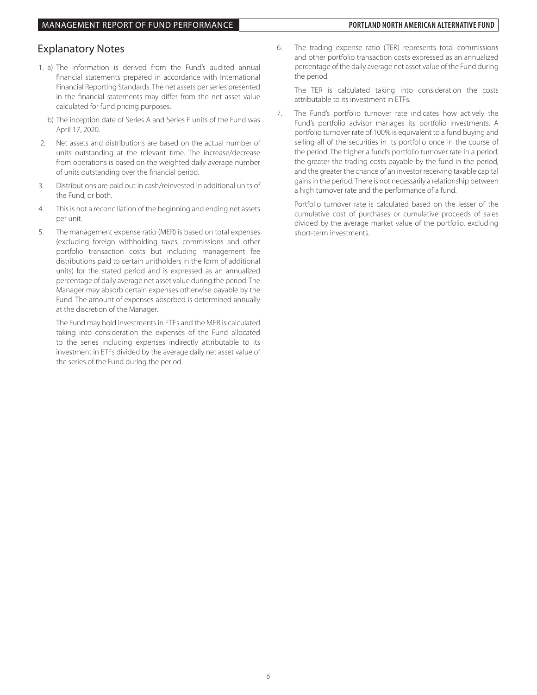## Explanatory Notes

- 1. a) The information is derived from the Fund's audited annual financial statements prepared in accordance with International Financial Reporting Standards. The net assets per series presented in the financial statements may differ from the net asset value calculated for fund pricing purposes.
	- b) The inception date of Series A and Series F units of the Fund was April 17, 2020.
- 2. Net assets and distributions are based on the actual number of units outstanding at the relevant time. The increase/decrease from operations is based on the weighted daily average number of units outstanding over the financial period.
- 3. Distributions are paid out in cash/reinvested in additional units of the Fund, or both.
- 4. This is not a reconciliation of the beginning and ending net assets per unit.
- 5. The management expense ratio (MER) is based on total expenses (excluding foreign withholding taxes, commissions and other portfolio transaction costs but including management fee distributions paid to certain unitholders in the form of additional units) for the stated period and is expressed as an annualized percentage of daily average net asset value during the period. The Manager may absorb certain expenses otherwise payable by the Fund. The amount of expenses absorbed is determined annually at the discretion of the Manager.

 The Fund may hold investments in ETFs and the MER is calculated taking into consideration the expenses of the Fund allocated to the series including expenses indirectly attributable to its investment in ETFs divided by the average daily net asset value of the series of the Fund during the period.

6. The trading expense ratio (TER) represents total commissions and other portfolio transaction costs expressed as an annualized percentage of the daily average net asset value of the Fund during the period.

 The TER is calculated taking into consideration the costs attributable to its investment in ETFs.

7. The Fund's portfolio turnover rate indicates how actively the Fund's portfolio advisor manages its portfolio investments. A portfolio turnover rate of 100% is equivalent to a fund buying and selling all of the securities in its portfolio once in the course of the period. The higher a fund's portfolio turnover rate in a period, the greater the trading costs payable by the fund in the period, and the greater the chance of an investor receiving taxable capital gains in the period. There is not necessarily a relationship between a high turnover rate and the performance of a fund.

 Portfolio turnover rate is calculated based on the lesser of the cumulative cost of purchases or cumulative proceeds of sales divided by the average market value of the portfolio, excluding short-term investments.